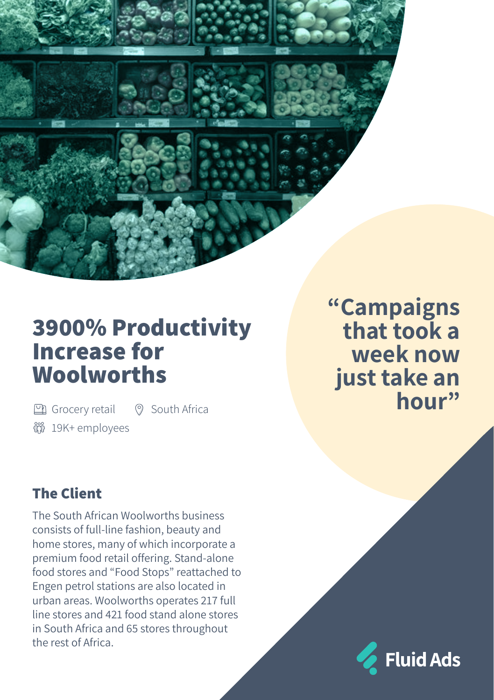# **3900% Productivity Increase for Woolworths**

19K+ employees 图 Grocery retail <br>
© South Africa

# **"Campaigns that took a week now just take an hour"**

# **The Client**

The South African Woolworths business consists of full-line fashion, beauty and home stores, many of which incorporate a premium food retail offering. Stand-alone food stores and "Food Stops" reattached to Engen petrol stations are also located in urban areas. Woolworths operates 217 full line stores and 421 food stand alone stores in South Africa and 65 stores throughout the rest of Africa.